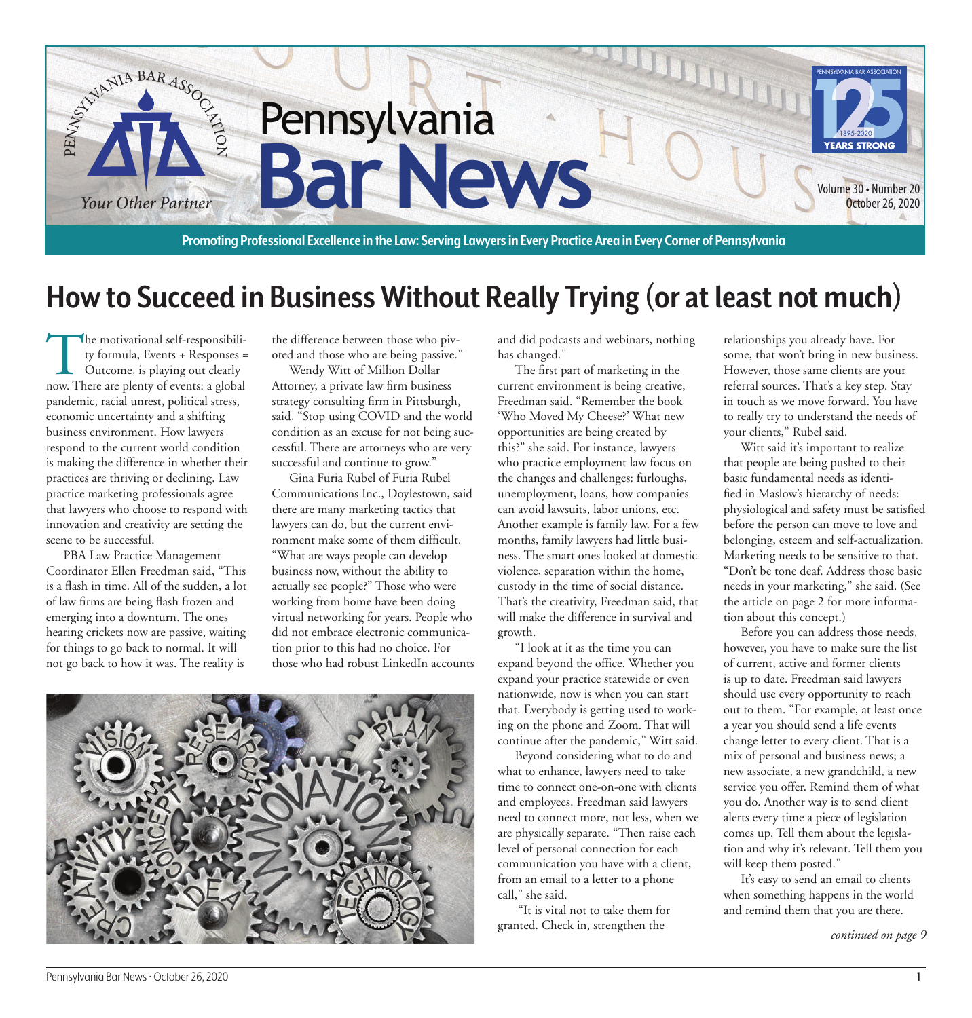

## **How to Succeed in Business Without Really Trying (or at least not much)**

The motivational self-responsibili-<br>ty formula, Events + Responses =<br>Outcome, is playing out clearly<br>now There are plenty of events: a global ty formula, Events + Responses = Outcome, is playing out clearly now. There are plenty of events: a global pandemic, racial unrest, political stress, economic uncertainty and a shifting business environment. How lawyers respond to the current world condition is making the difference in whether their practices are thriving or declining. Law practice marketing professionals agree that lawyers who choose to respond with innovation and creativity are setting the scene to be successful.

PBA Law Practice Management Coordinator Ellen Freedman said, "This is a flash in time. All of the sudden, a lot of law firms are being flash frozen and emerging into a downturn. The ones hearing crickets now are passive, waiting for things to go back to normal. It will not go back to how it was. The reality is

the difference between those who pivoted and those who are being passive."

Wendy Witt of Million Dollar Attorney, a private law firm business strategy consulting firm in Pittsburgh, said, "Stop using COVID and the world condition as an excuse for not being successful. There are attorneys who are very successful and continue to grow."

Gina Furia Rubel of Furia Rubel Communications Inc., Doylestown, said there are many marketing tactics that lawyers can do, but the current environment make some of them difficult. "What are ways people can develop business now, without the ability to actually see people?" Those who were working from home have been doing virtual networking for years. People who did not embrace electronic communication prior to this had no choice. For those who had robust LinkedIn accounts



and did podcasts and webinars, nothing has changed."

The first part of marketing in the current environment is being creative, Freedman said. "Remember the book 'Who Moved My Cheese?' What new opportunities are being created by this?" she said. For instance, lawyers who practice employment law focus on the changes and challenges: furloughs, unemployment, loans, how companies can avoid lawsuits, labor unions, etc. Another example is family law. For a few months, family lawyers had little business. The smart ones looked at domestic violence, separation within the home, custody in the time of social distance. That's the creativity, Freedman said, that will make the difference in survival and growth.

"I look at it as the time you can expand beyond the office. Whether you expand your practice statewide or even nationwide, now is when you can start that. Everybody is getting used to working on the phone and Zoom. That will continue after the pandemic," Witt said.

Beyond considering what to do and what to enhance, lawyers need to take time to connect one-on-one with clients and employees. Freedman said lawyers need to connect more, not less, when we are physically separate. "Then raise each level of personal connection for each communication you have with a client, from an email to a letter to a phone call," she said.

 "It is vital not to take them for granted. Check in, strengthen the

relationships you already have. For some, that won't bring in new business. However, those same clients are your referral sources. That's a key step. Stay in touch as we move forward. You have to really try to understand the needs of your clients," Rubel said.

Witt said it's important to realize that people are being pushed to their basic fundamental needs as identified in Maslow's hierarchy of needs: physiological and safety must be satisfied before the person can move to love and belonging, esteem and self-actualization. Marketing needs to be sensitive to that. "Don't be tone deaf. Address those basic needs in your marketing," she said. (See the article on page 2 for more information about this concept.)

Before you can address those needs, however, you have to make sure the list of current, active and former clients is up to date. Freedman said lawyers should use every opportunity to reach out to them. "For example, at least once a year you should send a life events change letter to every client. That is a mix of personal and business news; a new associate, a new grandchild, a new service you offer. Remind them of what you do. Another way is to send client alerts every time a piece of legislation comes up. Tell them about the legislation and why it's relevant. Tell them you will keep them posted."

It's easy to send an email to clients when something happens in the world and remind them that you are there.

*continued on page 9*